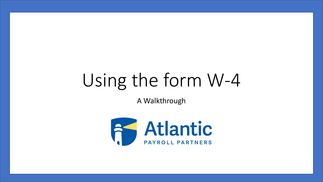# Using the form W-4

A Walkthrough

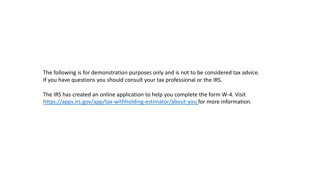The following is for demonstration purposes only and is not to be considered tax advice. If you have questions you should consult your tax professional or the IRS.

The IRS has created an online application to help you complete the form W-4. Visit <https://apps.irs.gov/app/tax-withholding-estimator/about-you> for more information.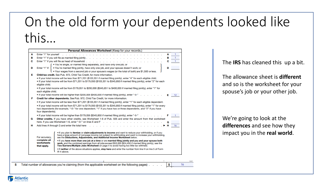# On the old form your dependents looked like

this…

|   | Personal Allowances Worksheet (Keep for your records.)                                                                                                                                                                                                   |   |    |
|---|----------------------------------------------------------------------------------------------------------------------------------------------------------------------------------------------------------------------------------------------------------|---|----|
| A | Enter "1" for yourself<br>the second contract of the second contract of the second contract of the second contract of the second contract of the second contract of the second contract of the second contract of the second contract of the second cont | А |    |
| в | Enter "1" if you will file as married filing jointly                                                                                                                                                                                                     | в |    |
| C |                                                                                                                                                                                                                                                          | с |    |
|   | . You're single, or married filing separately, and have only one job; or                                                                                                                                                                                 |   |    |
| D | Enter "1" if: { • You're married filing jointly, have only one job, and your spouse doesn't work; or                                                                                                                                                     | D |    |
|   | ↓ • Your wages from a second job or your spouse's wages (or the total of both) are \$1,500 or less.                                                                                                                                                      |   |    |
| Е | Child tax credit. See Pub. 972. Child Tax Credit, for more information.                                                                                                                                                                                  |   |    |
|   | . If your total income will be less than \$71,201 (\$103,351 if married filing jointly), enter "4" for each eligible child.                                                                                                                              |   |    |
|   | • If your total income will be from \$71,201 to \$179,050 (\$103,351 to \$345,850 if married filing jointly), enter "2" for each                                                                                                                         |   |    |
|   | eligible child.                                                                                                                                                                                                                                          |   |    |
|   | • If your total income will be from \$179,051 to \$200,000 (\$345,851 to \$400,000 if married filing jointly), enter "1" for                                                                                                                             |   |    |
|   | each eligible child.                                                                                                                                                                                                                                     |   |    |
|   | • If your total income will be higher than \$200,000 (\$400,000 if married filing jointly), enter "-0-"                                                                                                                                                  |   |    |
| F | Credit for other dependents. See Pub. 972. Child Tax Credit, for more information.                                                                                                                                                                       |   |    |
|   | • If your total income will be less than \$71,201 (\$103,351 if married filing jointly), enter "1" for each eligible dependent.                                                                                                                          |   |    |
|   | • If your total income will be from \$71,201 to \$179,050 (\$103,351 to \$345,850 if married filing jointly), enter "1" for every                                                                                                                        |   |    |
|   | two dependents (for example, "-0-" for one dependent, "1" if you have two or three dependents, and "2" if you have                                                                                                                                       |   |    |
|   | four dependents).                                                                                                                                                                                                                                        |   |    |
|   | • If your total income will be higher than \$179,050 (\$345,850 if married filing jointly), enter "-0-"                                                                                                                                                  |   |    |
| G | Other credits. If you have other credits, see Worksheet 1-6 of Pub. 505 and enter the amount from that worksheet                                                                                                                                         |   |    |
|   | here. If you use Worksheet 1-6, enter "-0-" on lines E and F                                                                                                                                                                                             |   |    |
| н | Add lines A through G and enter the total here end and all the contract of the total here end and are contract of the contract of the contract of the contract of the contract of the contract of the contract of the contract                           | н | 16 |
|   | . If you plan to itemize or claim adjustments to income and want to reduce your withholding, or if you                                                                                                                                                   |   |    |
|   | have a large amount of nonwage income not subject to withholding and want to increase your withholding.<br>For accuracy,<br>see the Deductions, Adjustments, and Additional Income Worksheet below.                                                      |   |    |
|   | complete all<br>. If you have more than one job at a time or are married filing jointly and you and your spouse both                                                                                                                                     |   |    |
|   | worksheets<br>work, and the combined earnings from all jobs exceed \$53,000 (\$24,450 if married filing jointly), see the                                                                                                                                |   |    |
|   | Two-Earners/Multiple Jobs Worksheet on page 4 to avoid having too little tax withheid.<br>that apply.                                                                                                                                                    |   |    |
|   | . If neither of the above situations applies, stop here and enter the number from line H on line 5 of Form<br>W-4 above.                                                                                                                                 |   |    |
|   |                                                                                                                                                                                                                                                          |   |    |

Total number of allowances you're claiming (from the applicable worksheet on the following pages) 5

16

5

The **IRS** has cleaned this up a bit.

The allowance sheet is **different** and so is the worksheet for your spouse's job or your other job.

We're going to look at the **differences** and see how they impact you in the **real world**.

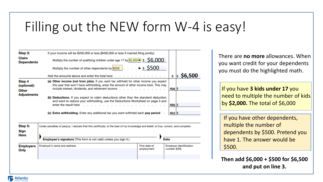### Filling out the NEW form W-4 is easy!

| Step 3:                        | If your income will be \$200,000 or less (\$400,000 or less if married filing jointly):                                                                                                                                                                                                                                                                                                                            |             |         |
|--------------------------------|--------------------------------------------------------------------------------------------------------------------------------------------------------------------------------------------------------------------------------------------------------------------------------------------------------------------------------------------------------------------------------------------------------------------|-------------|---------|
| Claim<br><b>Dependents</b>     | Multiply the number of qualifying children under age 17 by \$2,000 ▶ \$ \$6,000                                                                                                                                                                                                                                                                                                                                    |             |         |
|                                | Multiply the number of other dependents by $\frac{$500}{ }$ $\blacktriangleright$ \$ 5500                                                                                                                                                                                                                                                                                                                          |             |         |
|                                | Add the amounts above and enter the total here                                                                                                                                                                                                                                                                                                                                                                     | з           | \$6,500 |
| Step 4<br>(optional):<br>Other | (a) Other income (not from jobs). If you want tax withheld for other income you expect<br>this year that won't have withholding, enter the amount of other income here. This may<br>include interest, dividends, and retirement income                                                                                                                                                                             | $ 4(a) $ \$ |         |
| <b>Adjustments</b>             | <b>Deductions.</b> If you expect to claim deductions other than the standard deduction<br>(b)<br>and want to reduce your withholding, use the Deductions Worksheet on page 3 and<br>enter the result here end and a security of the second contract to the second contract to the second contract of the second contract of the second contract of the second contract of the second contract of the second contra | $ 4(b) \$   |         |
|                                | (c) Extra withholding. Enter any additional tax you want withheld each pay period                                                                                                                                                                                                                                                                                                                                  | $4(c)$ \$   |         |
| Step 5:                        | Under penalties of perjury, I declare that this certificate, to the best of my knowledge and belief, is true, correct, and complete.                                                                                                                                                                                                                                                                               |             |         |
|                                |                                                                                                                                                                                                                                                                                                                                                                                                                    |             |         |

| Sign<br><b>Here</b> | Employee's signature (This form is not valid unless you sign it.) |               | <b>Date</b>                    |
|---------------------|-------------------------------------------------------------------|---------------|--------------------------------|
| <b>Employers</b>    | Employer's name and address                                       | First date of | <b>Employer identification</b> |
| Only                |                                                                   | employment    | number (EIN)                   |

There are **no more** allowances. When you want credit for your dependents you must do the highlighted math.

If you have **3 kids under 17** you need to multiple the number of kids by **\$2,000.** The total of \$6,000

If you have other dependents, multiple the number of dependents by \$500. Pretend you have 1. The answer would be \$500.

**Then add \$6,000 + \$500 for \$6,500 and put on line 3.**

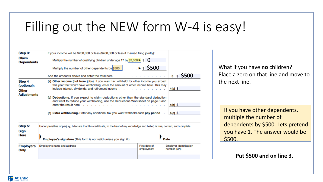### Filling out the NEW form W-4 is easy!

First date of

employment

**Employer identification** 

number (EIN)

| Step 3:                           | If your income will be \$200,000 or less (\$400,000 or less if married filing jointly):                                                                                                                                                                                                             |                   |                     |
|-----------------------------------|-----------------------------------------------------------------------------------------------------------------------------------------------------------------------------------------------------------------------------------------------------------------------------------------------------|-------------------|---------------------|
| <b>Claim</b><br><b>Dependents</b> | Multiply the number of qualifying children under age 17 by \$2,000 $\blacktriangleright$ \$ 0                                                                                                                                                                                                       |                   |                     |
|                                   | Multiply the number of other dependents by \$500 $\vert \cdot \cdot \cdot \cdot \cdot \cdot$ \$ 5500                                                                                                                                                                                                |                   |                     |
|                                   | Add the amounts above and enter the total here                                                                                                                                                                                                                                                      | з                 | <b>\$500</b><br>I\$ |
| Step 4<br>(optional):             | <b>Other income (not from jobs).</b> If you want tax withheld for other income you expect<br>(a)<br>this year that won't have withholding, enter the amount of other income here. This may                                                                                                          |                   |                     |
| Other                             | include interest, dividends, and retirement income $\ldots$ , $\ldots$ , $\ldots$<br><b>Service</b>                                                                                                                                                                                                 | $ 4(a) $ \$       |                     |
| <b>Adjustments</b>                | (b) Deductions. If you expect to claim deductions other than the standard deduction<br>and want to reduce your withholding, use the Deductions Worksheet on page 3 and<br>enter the result here $\qquad \ldots \qquad \ldots \qquad \ldots \qquad \ldots \qquad \ldots \qquad \ldots \qquad \ldots$ | $4(b)$ \$         |                     |
|                                   | (c) Extra withholding. Enter any additional tax you want withheld each pay period                                                                                                                                                                                                                   | $4(c)$ $\sqrt{5}$ |                     |
| Step 5:<br>Sign                   | Under penalties of perjury, I declare that this certificate, to the best of my knowledge and belief, is true, correct, and complete.                                                                                                                                                                |                   |                     |
| Here                              | Employee's signature (This form is not valid unless you sign it.)<br><b>Date</b>                                                                                                                                                                                                                    |                   |                     |
|                                   |                                                                                                                                                                                                                                                                                                     |                   |                     |

What if you have **no** children? Place a zero on that line and move to the next line.

If you have other dependents, multiple the number of dependents by \$500. Lets pretend you have 1. The answer would be \$500.

#### **Put \$500 and on line 3.**



**Employers** 

Only

Employer's name and address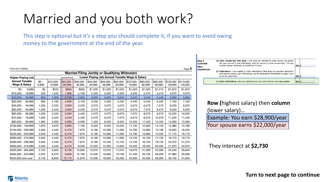## Married and you both work?

This step is optional but it's a step you should complete it, if you want to avoid owing money to the government at the end of the year.

Form W-4 (2020)

| <b>Married Filing Jointly or Qualifying Widow(er)</b> |        |                |                       |                    |                    |                                               |                    |                    |                    |                    |                    |                      |                         |
|-------------------------------------------------------|--------|----------------|-----------------------|--------------------|--------------------|-----------------------------------------------|--------------------|--------------------|--------------------|--------------------|--------------------|----------------------|-------------------------|
| <b>Higher Paying Job</b>                              |        |                |                       |                    |                    | Lower Paying Job Annual Taxable Wage & Salary |                    |                    |                    |                    |                    |                      |                         |
| <b>Annual Taxable</b><br><b>Wage &amp; Salary</b>     |        | \$0 -<br>9,999 | $$10,000 -$<br>19,999 | \$20,000<br>29,999 | \$30,000<br>39,999 | \$40,000<br>49,999                            | \$50,000<br>59,999 | \$60,000<br>69,999 | \$70,000<br>79,999 | \$80,000<br>89,999 | \$90,000<br>99,999 | \$100,000<br>109,999 | $$110,000 -$<br>120,000 |
| $$0 -$                                                | 9,999  | \$0            | \$220                 | \$850              | \$900              | \$1,020                                       | \$1,020            | \$1,020            | \$1,020            | \$1,020            | \$1,210            | \$1,870              | \$1,870                 |
| $$10,000 -$                                           | 19,999 | 220            | 1,220                 | .900               | 2,100              | 2,220                                         | 2,220              | 2,220              | 2.220              | 2,410              | 3,410              | 4.070                | 4.070                   |
| \$20,000                                              | 29,999 | 850            | 1,900                 | 2,730              | 2,930              | 3,050                                         | 3,050              | 3,050              | 3,240              | 4.240              | 5,240              | 5,900                | 5,900                   |
| $$30,000 -$                                           | 39,999 | 900            | 2,100                 | 2,930              | 3,130              | 3,250                                         | 3,250              | 3,440              | 4,440              | 5.440              | 6,440              | 7,100                | 7,100                   |
| $$40,000 -$                                           | 49,999 | 1,020          | 2,220                 | 3,050              | 3,250              | 3,370                                         | 3,570              | 4,570              | 5,570              | 6,570              | 7.570              | 8.220                | 8,220                   |
| $$50,000 -$                                           | 59,999 | 1,020          | 2,220                 | 3,050              | 3,250              | 3,570                                         | 4,570              | 5,570              | 6,570              | 7,570              | 8,570              | 9,220                | 9,220                   |
| $$60,000 -$                                           | 69,999 | 1.020          | 2,220                 | 3,050              | 3,440              | 4,570                                         | 5,570              | 6,570              | 7.570              | 8,570              | 9,570              | 10,220               | 10,220                  |
| $$70,000 -$                                           | 79.999 | 1.020          | 2,220                 | 3,240              | 4,440              | 5,570                                         | 6,570              | 7,570              | 8.570              | 9,570              | 10,570             | 11,220               | 11,240                  |
| \$80,000 -                                            | 99,999 | 1.060          | 3,260                 | 5,090              | 6,290              | 7,420                                         | 8,420              | 9,420              | 10,420             | 11,420             | 12,420             | 13,260               | 13,460                  |
| \$100,000 - 149,999                                   |        | 1,870          | 4,070                 | 5,900              | 7,100              | 8,220                                         | 9,320              | 10,520             | 11,720             | 12,920             | 14,120             | 14,980               | 15,180                  |
| \$150,000 - 239,999                                   |        | 2,040          | 4,440                 | 6,470              | 7,870              | 9,190                                         | 10,390             | 11,590             | 12,790             | 13,990             | 15,190             | 16,050               | 16,250                  |
| \$240,000 - 259,999                                   |        | 2,040          | 4,440                 | 6,470              | 7,870              | 9,190                                         | 10,390             | 11,590             | 12,790             | 13,990             | 15,520             | 17,170               | 18,170                  |
| \$260,000 - 279,999                                   |        | 2,040          | 4,440                 | 6,470              | 7,870              | 9,190                                         | 10,390             | 11,590             | 13,120             | 15,120             | 17,120             | 18,770               | 19,770                  |
| \$280,000 - 299,999                                   |        | 2,040          | 4,440                 | 6,470              | 7,870              | 9.190                                         | 10,720             | 12,720             | 14,720             | 16,720             | 18,720             | 20,370               | 21,370                  |
| \$300,000 - 319,999                                   |        | 2,040          | 4,440                 | 6,470              | 8,200              | 10,320                                        | 12,320             | 14,320             | 16,320             | 18,320             | 20,320             | 21,970               | 22,970                  |
| \$320,000 - 364,999                                   |        | 2,720          | 5,920                 | 8,750              | 10,950             | 13,070                                        | 15,070             | 17,070             | 19,070             | 21,290             | 23,590             | 25,540               | 26,840                  |
| \$365,000 - 524,999                                   |        | 2,970          | 6,470                 | 9,600              | 12,100             | 14,530                                        | 16,830             | 19,130             | 21,430             | 23,730             | 26,030             | 27,980               | 29,280                  |
| \$525,000 and over                                    |        | 3,140          | 6,840                 | 10,170             | 12,870             | 15,500                                        | 18,000             | 20,500             | 23,000             | 25,500             | 28,000             | 30,150               | 31,650                  |

| Step 4<br>(optional): | (a) Other income (not from jobs). If you want tax withheld for other income you expect<br>this year that won't have withholding, enter the amount of other income here. This may                                                                        |            |  |
|-----------------------|---------------------------------------------------------------------------------------------------------------------------------------------------------------------------------------------------------------------------------------------------------|------------|--|
| Other                 | include interest, dividends, and retirement income                                                                                                                                                                                                      | $4(a)$ $ $ |  |
| <b>Adjustments</b>    | (b) Deductions. If you expect to claim deductions other than the standard deduction<br>and want to reduce your withholding, use the Deductions Worksheet on page 3 and                                                                                  |            |  |
|                       | the contract of the contract of the contract of the contract of the contract of the contract of the contract of the contract of the contract of the contract of the contract of the contract of the contract of the contract o<br>enter the result here | $4(b)$  \$ |  |
|                       | (c) Extra withholding. Enter any additional tax you want withheld each pay period                                                                                                                                                                       | $4(c)$  9  |  |

| <b>Row (highest salary) then column</b> |
|-----------------------------------------|
| (lower salary)                          |
| Fyample: You earn \$28,900/year         |

Example: You earn \$28,900/year Your spouse earns \$22,000/year

They intersect at **\$2,730**

Page 4

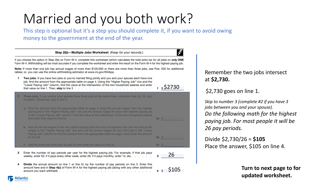## Married and you both work?

This step is optional but it's a step you should complete it, if you want to avoid owing money to the government at the end of the year.

|                | Step 2(b) - Multiple Jobs Worksheet (Keep for your records.)                                                                                                                                                                                                                                                                                                                                                                                                                                                                                                  |        |  |  |  |  |  |  |  |  |
|----------------|---------------------------------------------------------------------------------------------------------------------------------------------------------------------------------------------------------------------------------------------------------------------------------------------------------------------------------------------------------------------------------------------------------------------------------------------------------------------------------------------------------------------------------------------------------------|--------|--|--|--|--|--|--|--|--|
|                | If you choose the option in Step 2(b) on Form W-4, complete this worksheet (which calculates the total extra tax for all jobs) on only ONE<br>Form W-4. Withholding will be most accurate if you complete the worksheet and enter the result on the Form W-4 for the highest paying job.                                                                                                                                                                                                                                                                      |        |  |  |  |  |  |  |  |  |
|                | Note: If more than one job has annual wages of more than \$120,000 or there are more than three jobs, see Pub. 505 for additional<br>tables; or, you can use the online withholding estimator at www.irs.gov/W4App.                                                                                                                                                                                                                                                                                                                                           |        |  |  |  |  |  |  |  |  |
| 1.             | Two jobs. If you have two jobs or you're married filing jointly and you and your spouse each have one<br>job, find the amount from the appropriate table on page 4. Using the "Higher Paying Job" row and the<br>"Lower Paying Job" column, find the value at the intersection of the two household salaries and enter<br>\$52730<br>that value on line 1. Then, skip to line $3 \ldots \ldots \ldots \ldots \ldots \ldots \ldots \ldots \ldots \ldots$                                                                                                       |        |  |  |  |  |  |  |  |  |
| $\overline{2}$ | Three jobs. If you and/or your spouse have three jobs at the same time, complete lines 2a, 2b, and<br>2c below. Otherwise, skip to line 3.                                                                                                                                                                                                                                                                                                                                                                                                                    | S      |  |  |  |  |  |  |  |  |
|                | Find the amount from the appropriate table on page 4 using the annual wages from the highest<br>paying job in the "Higher Paying Job" row and the annual wages for your next highest paying job<br>in the "Lower Paying Job" column. Find the value at the intersection of the two household salaries<br>and enter that value on line 2a $\ldots$ $\ldots$ $\ldots$ $\ldots$ $\ldots$ $\ldots$ $\ldots$ $\ldots$ $\ldots$ $\ldots$ $\ldots$<br>2a <sub>s</sub>                                                                                                | J<br>Þ |  |  |  |  |  |  |  |  |
|                | <b>b</b> Add the annual wages of the two highest paying jobs from line 2a together and use the total as the<br>wages in the "Higher Paying Job" row and use the annual wages for your third job in the "Lower<br>Paying Job" column to find the amount from the appropriate table on page 4 and enter this amount<br>on line 2b in the state of the state of the state of the state of the state of the state of the state of the state of the state of the state of the state of the state of the state of the state of the state of the state of<br>$2b$ \$ |        |  |  |  |  |  |  |  |  |
|                | c Add the amounts from lines 2a and 2b and enter the result on line 2c<br>2cS                                                                                                                                                                                                                                                                                                                                                                                                                                                                                 |        |  |  |  |  |  |  |  |  |
| з              | Enter the number of pay periods per year for the highest paying job. For example, if that job pays<br>26<br>weekly, enter 52; if it pays every other week, enter 26; if it pays monthly, enter 12, etc.<br>з                                                                                                                                                                                                                                                                                                                                                  |        |  |  |  |  |  |  |  |  |
| 4              | Divide the annual amount on line 1 or line 2c by the number of pay periods on line 3. Enter this<br>amount here and in Step 4(c) of Form W-4 for the highest paying job (along with any other additional<br>S105                                                                                                                                                                                                                                                                                                                                              |        |  |  |  |  |  |  |  |  |

**Atlantic** 

Remember the two jobs intersect at **\$2,730.**

#### \$2,730 goes on line 1.

*Skip to number 3 (complete #2 if you have 3 jobs between you and your spouse). Do the following math for the highest paying job. For most people it will be 26 pay periods.*

Divide \$2,730/26 = **\$105** Place the answer, \$105 on line 4.

> **Turn to next page to for updated worksheet.**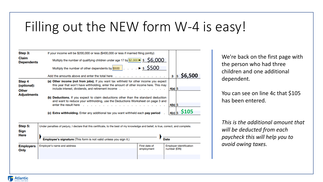### Filling out the NEW form W-4 is easy!

| Step 3:                        | If your income will be \$200,000 or less (\$400,000 or less if married filing jointly):                                                                                                                                                                                                                                                                                                                  |           |     |                        |
|--------------------------------|----------------------------------------------------------------------------------------------------------------------------------------------------------------------------------------------------------------------------------------------------------------------------------------------------------------------------------------------------------------------------------------------------------|-----------|-----|------------------------|
| Claim<br><b>Dependents</b>     | Multiply the number of qualifying children under age 17 by \$2,000 > \$ $\,$ \$ $\,$ 56,000                                                                                                                                                                                                                                                                                                              |           |     |                        |
|                                | Multiply the number of other dependents by \$500 $\vert \cdot \cdot \cdot \cdot \cdot \cdot \cdot$ \$500                                                                                                                                                                                                                                                                                                 |           |     |                        |
|                                | Add the amounts above and enter the total here $\ldots$ , $\ldots$ , $\ldots$ , $\ldots$ , $\ldots$                                                                                                                                                                                                                                                                                                      | 3         | l\$ | \$6,500                |
| Step 4<br>(optional):<br>Other | (a) Other income (not from jobs). If you want tax withheld for other income you expect<br>this year that won't have withholding, enter the amount of other income here. This may<br>include interest, dividends, and retirement income $\cdot \cdot \cdot \cdot \cdot \cdot \cdot \cdot \cdot \cdot \cdot \cdot \cdot \cdot \cdot \cdot$                                                                 | $4(a)$ \$ |     |                        |
| <b>Adjustments</b>             | (b) Deductions. If you expect to claim deductions other than the standard deduction<br>and want to reduce your withholding, use the Deductions Worksheet on page 3 and<br>enter the result here end and a contact and a contact to the contact the result here is a contact to the contact the contact the contact the contact the contact the contact the contact the contact the contact the contact t | $4(b)$ \$ |     |                        |
|                                | (c) Extra withholding. Enter any additional tax you want withheld each pay period                                                                                                                                                                                                                                                                                                                        |           |     | $ _{4(c)} _{\$}$ \$105 |

| Step 5:<br>Sign<br>Here  | Under penalties of perjury, I declare that this certificate, to the best of my knowledge and belief, is true, correct, and complete. |                             |                                                |
|--------------------------|--------------------------------------------------------------------------------------------------------------------------------------|-----------------------------|------------------------------------------------|
|                          | Employee's signature (This form is not valid unless you sign it.)                                                                    |                             | <b>Date</b>                                    |
| <b>Employers</b><br>Only | Employer's name and address                                                                                                          | First date of<br>employment | <b>Employer identification</b><br>number (EIN) |
|                          |                                                                                                                                      |                             |                                                |

**Atlantic** 

We're back on the first page with the person who had three children and one additional dependent.

You can see on line 4c that \$105 has been entered.

*This is the additional amount that will be deducted from each paycheck this will help you to avoid owing taxes.*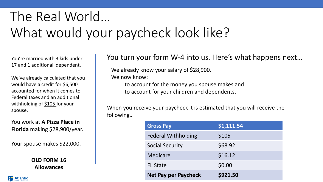You're married with 3 kids under 17 and 1 additional dependent.

We've already calculated that you would have a credit for \$6,500 accounted for when it comes to Federal taxes and an additional withholding of \$105 for your spouse.

You work at **A Pizza Place in Florida** making \$28,900/year.

Your spouse makes \$22,000.

**OLD FORM 16 Allowances** 

#### You turn your form W-4 into us. Here's what happens next…

We already know your salary of \$28,900.

We now know:

to account for the money you spouse makes and to account for your children and dependents.

| <b>Gross Pay</b>            | \$1,111.54 |
|-----------------------------|------------|
| <b>Federal Withholding</b>  | \$105      |
| <b>Social Security</b>      | \$68.92    |
| <b>Medicare</b>             | \$16.12    |
| <b>FL State</b>             | \$0.00     |
| <b>Net Pay per Paycheck</b> | \$921.50   |

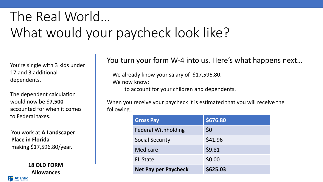You're single with 3 kids under 17 and 3 additional dependents.

The dependent calculation would now be \$**7,500** accounted for when it comes to Federal taxes.

You work at **A Landscaper Place in Florida** making \$17,596.80/year.

**Allowances** 

### You turn your form W-4 into us. Here's what happens next…

We already know your salary of \$17,596.80. We now know: to account for your children and dependents.

| rai taxes.                              | <b>Gross Pay</b>            | \$676.80 |
|-----------------------------------------|-----------------------------|----------|
| ork at A Landscaper                     | <b>Federal Withholding</b>  | \$0      |
| n Florida                               | <b>Social Security</b>      | \$41.96  |
| ; \$17,596.80/year.                     | Medicare                    | \$9.81   |
|                                         | <b>FL State</b>             | \$0.00   |
| <b>18 OLD FORM</b><br><b>Allowances</b> | <b>Net Pay per Paycheck</b> | \$625.03 |

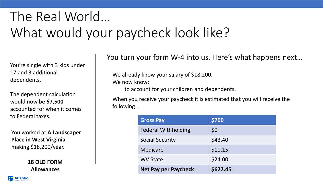You're single with 3 kids under 17 and 3 additional dependents.

The dependent calculation would now be **\$7,500**  accounted for when it comes to Federal taxes.

You worked at **A Landscaper Place in West Virginia**  making \$18,200/year.

> **18 OLD FORM Allowances**

You turn your form W-4 into us. Here's what happens next…

We already know your salary of \$18,200. We now know: to account for your children and dependents.

| <b>Gross Pay</b>            | \$700    |
|-----------------------------|----------|
| <b>Federal Withholding</b>  | \$0      |
| <b>Social Security</b>      | \$43.40  |
| Medicare                    | \$10.15  |
| <b>WV State</b>             | \$24.00  |
| <b>Net Pay per Paycheck</b> | \$622.45 |